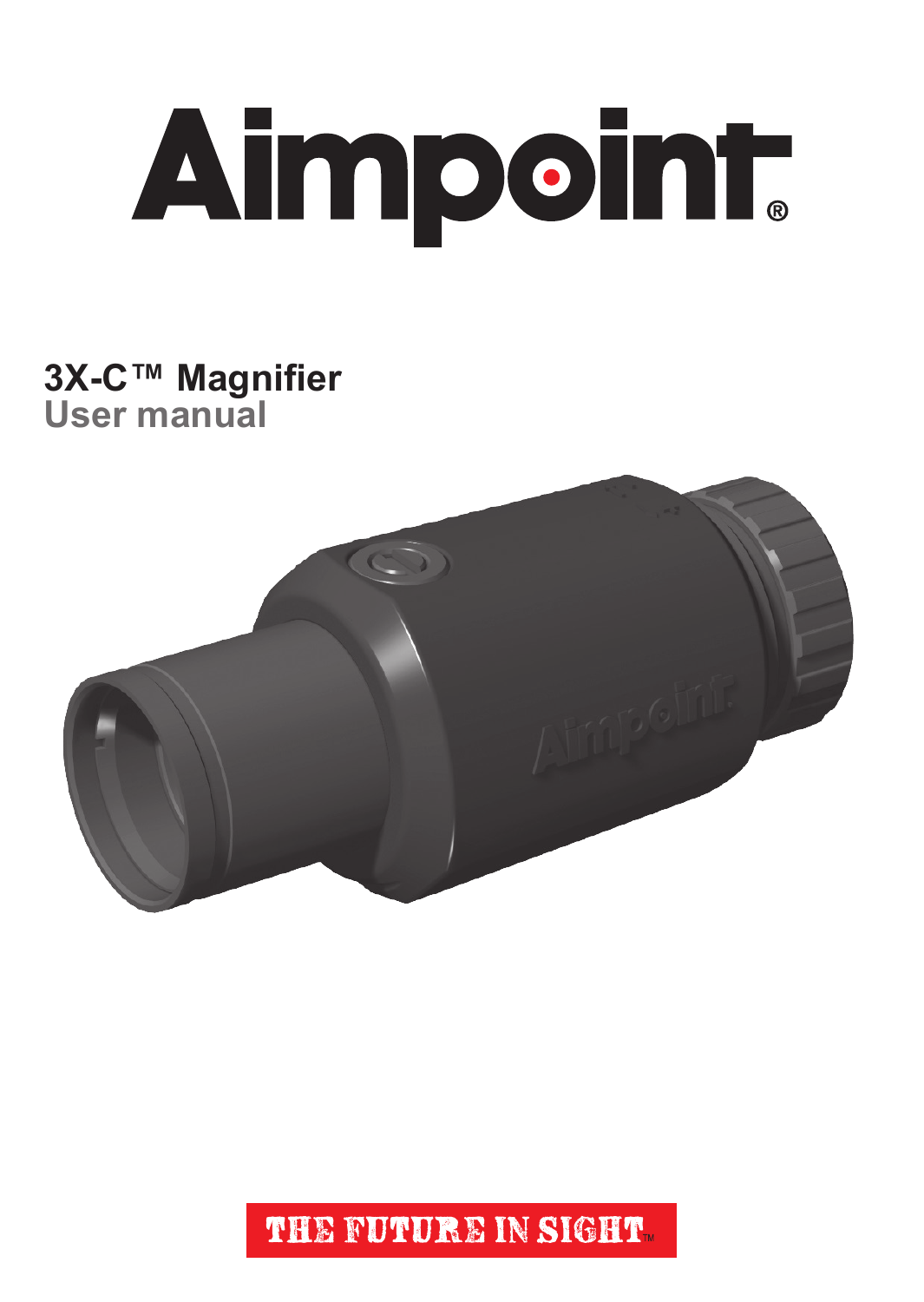

## **3X-C™ Magnifier User manual**



THE FUTURE IN SIGHT.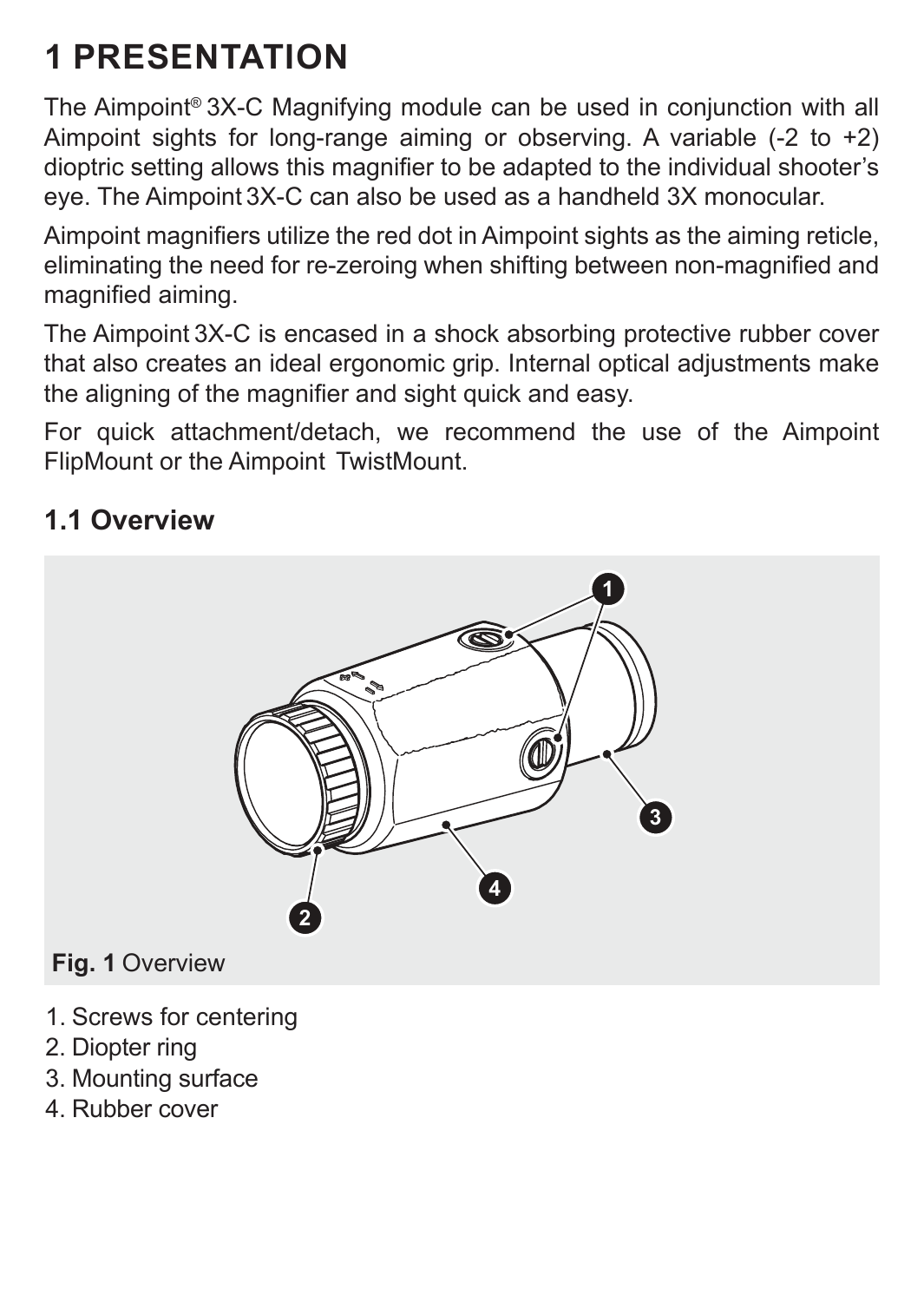# **1 PRESENTATION**

The Aimpoint® 3X-C Magnifying module can be used in conjunction with all Aimpoint sights for long-range aiming or observing. A variable  $(-2 \text{ to } +2)$ dioptric setting allows this magnifier to be adapted to the individual shooter's eye. The Aimpoint 3X-C can also be used as a handheld 3X monocular.

Aimpoint magnifiers utilize the red dot in Aimpoint sights as the aiming reticle, eliminating the need for re-zeroing when shifting between non-magnified and magnified aiming.

The Aimpoint 3X-C is encased in a shock absorbing protective rubber cover that also creates an ideal ergonomic grip. Internal optical adjustments make the aligning of the magnifier and sight quick and easy.

For quick attachment/detach, we recommend the use of the Aimpoint FlipMount or the Aimpoint TwistMount.

### **1.1 Overview**



- 1. Screws for centering
- 2. Diopter ring
- 3. Mounting surface
- 4. Rubber cover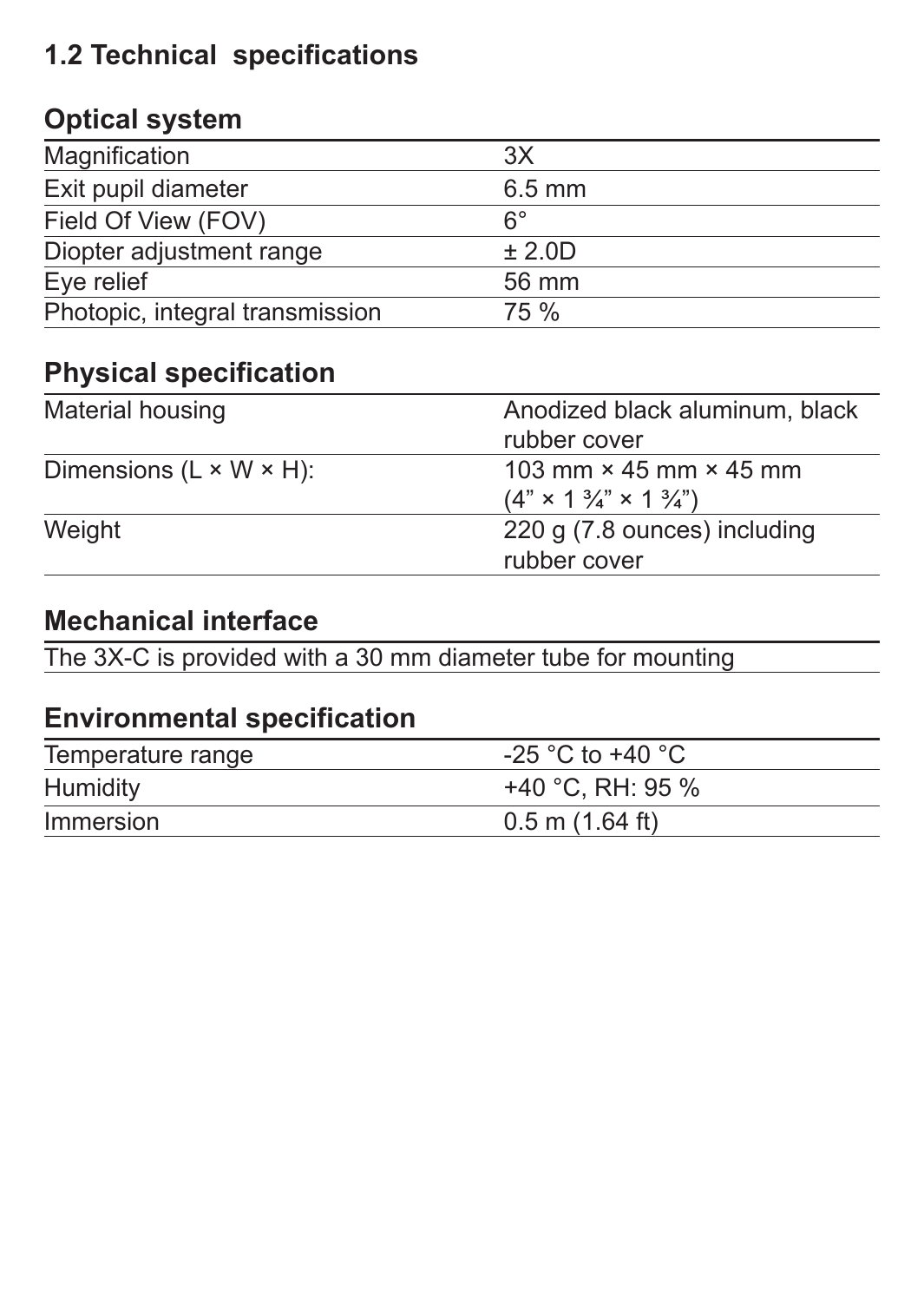### **1.2 Technical specifications**

### **Optical system**

| Magnification                   | 3X               |
|---------------------------------|------------------|
| Exit pupil diameter             | $6.5 \text{ mm}$ |
| Field Of View (FOV)             | $6^{\circ}$      |
| Diopter adjustment range        | ± 2.0D           |
| Eye relief                      | 56 mm            |
| Photopic, integral transmission | 75 %             |

### **Physical specification**

| Material housing                     | Anodized black aluminum, black<br>rubber cover                                           |
|--------------------------------------|------------------------------------------------------------------------------------------|
| Dimensions $(L \times W \times H)$ : | 103 mm $\times$ 45 mm $\times$ 45 mm<br>$(4" \times 1\frac{3}{4}" \times 1\frac{3}{4}")$ |
| Weight                               | 220 g (7.8 ounces) including<br>rubber cover                                             |

### **Mechanical interface**

The 3X-C is provided with a 30 mm diameter tube for mounting

#### **Environmental specification**

| Temperature range | -25 °C to +40 °C    |
|-------------------|---------------------|
| Humidity          | +40 °C. RH: 95 %    |
| Immersion         | $0.5$ m $(1.64$ ft) |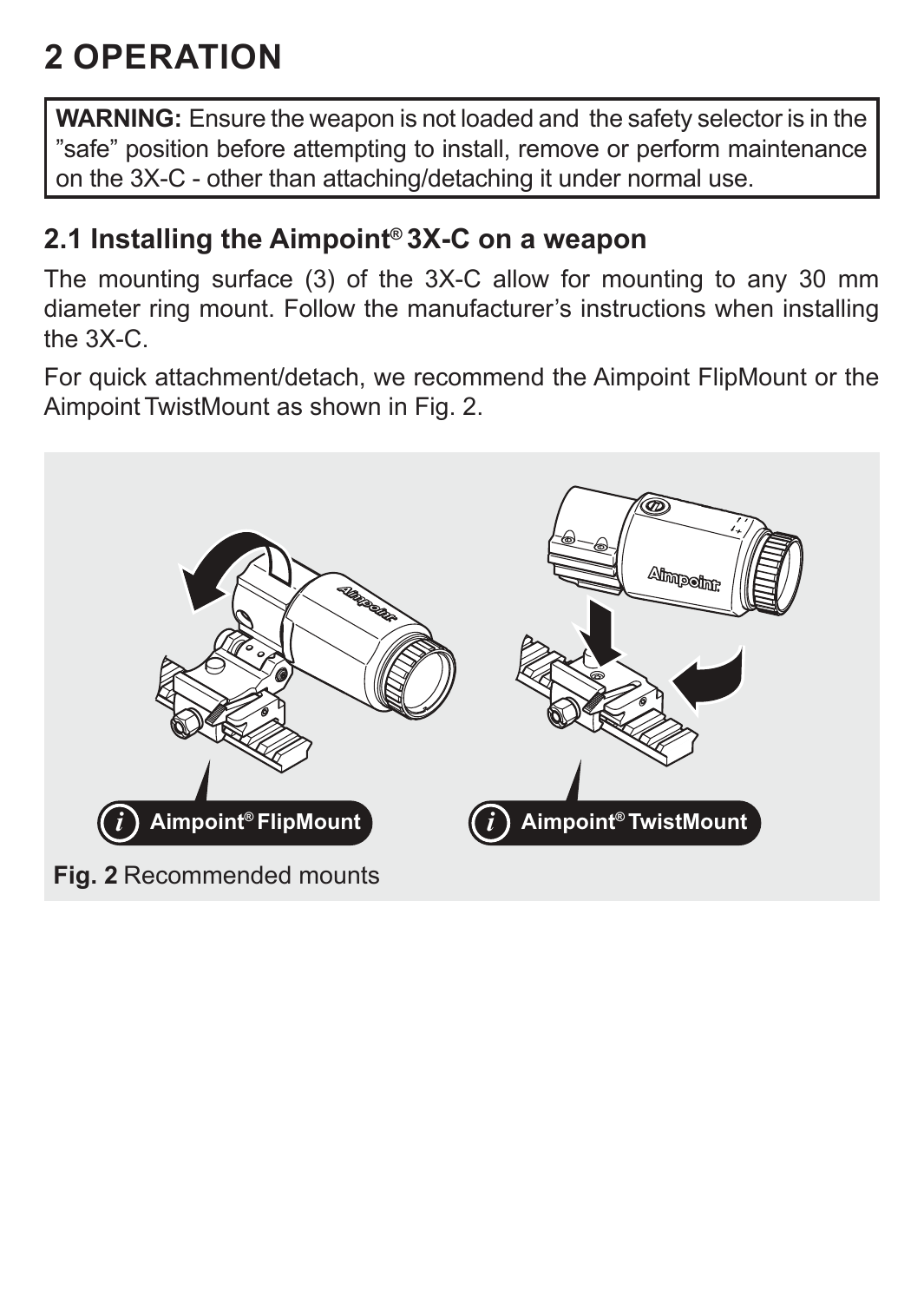# **2 OPERATION**

**WARNING:** Ensure the weapon is not loaded and the safety selector is in the "safe" position before attempting to install, remove or perform maintenance on the 3X-C - other than attaching/detaching it under normal use.

#### **2.1 Installing the Aimpoint® 3X-C on a weapon**

The mounting surface (3) of the 3X-C allow for mounting to any 30 mm diameter ring mount. Follow the manufacturer's instructions when installing the 3X-C.

For quick attachment/detach, we recommend the Aimpoint FlipMount or the Aimpoint TwistMount as shown in Fig. 2.

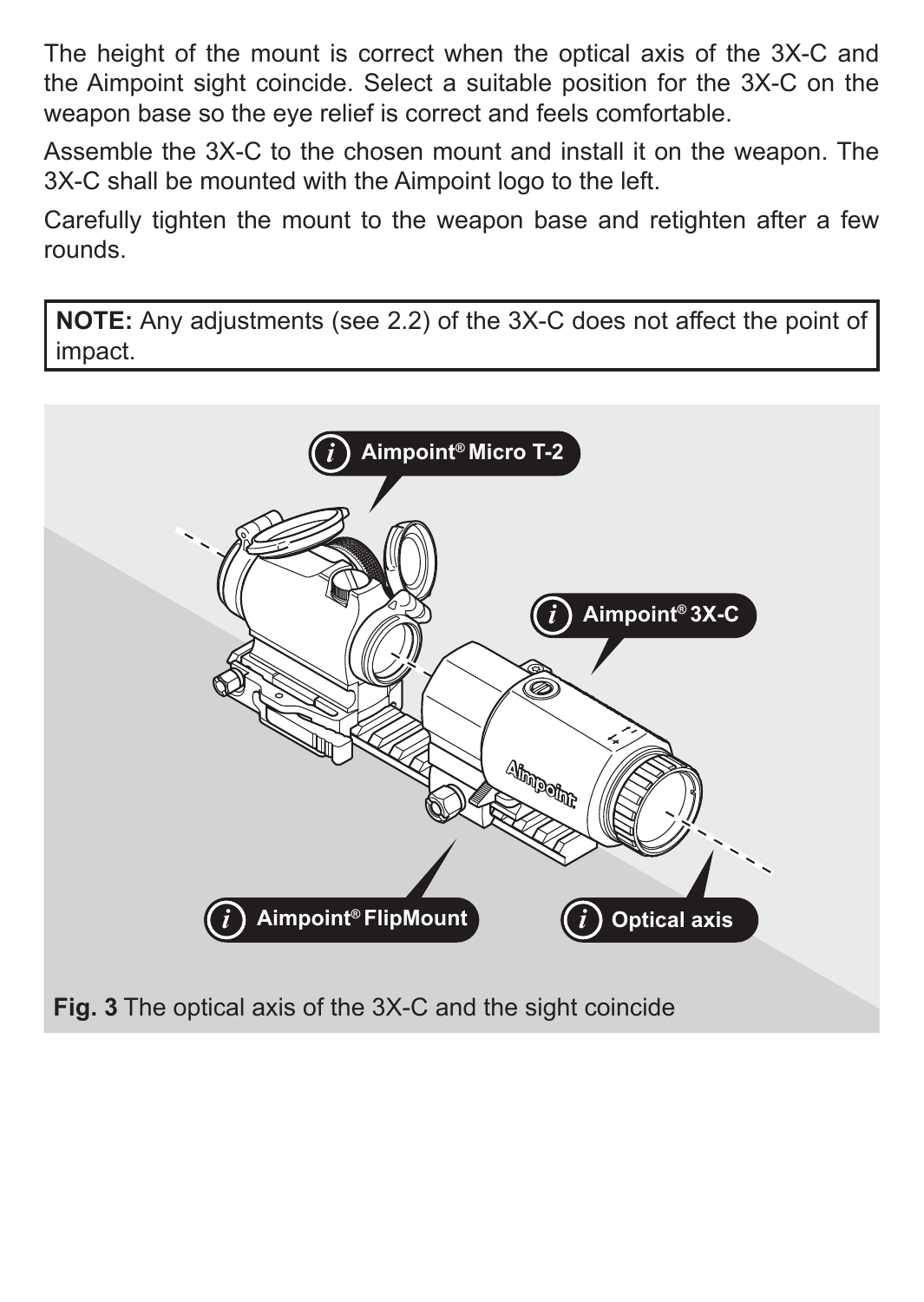The height of the mount is correct when the optical axis of the 3X-C and the Aimpoint sight coincide. Select a suitable position for the 3X-C on the weapon base so the eye relief is correct and feels comfortable.

Assemble the 3X-C to the chosen mount and install it on the weapon. The 3X-C shall be mounted with the Aimpoint logo to the left.

Carefully tighten the mount to the weapon base and retighten after a few rounds.

**NOTE:** Any adjustments (see 2.2) of the 3X-C does not affect the point of impact.

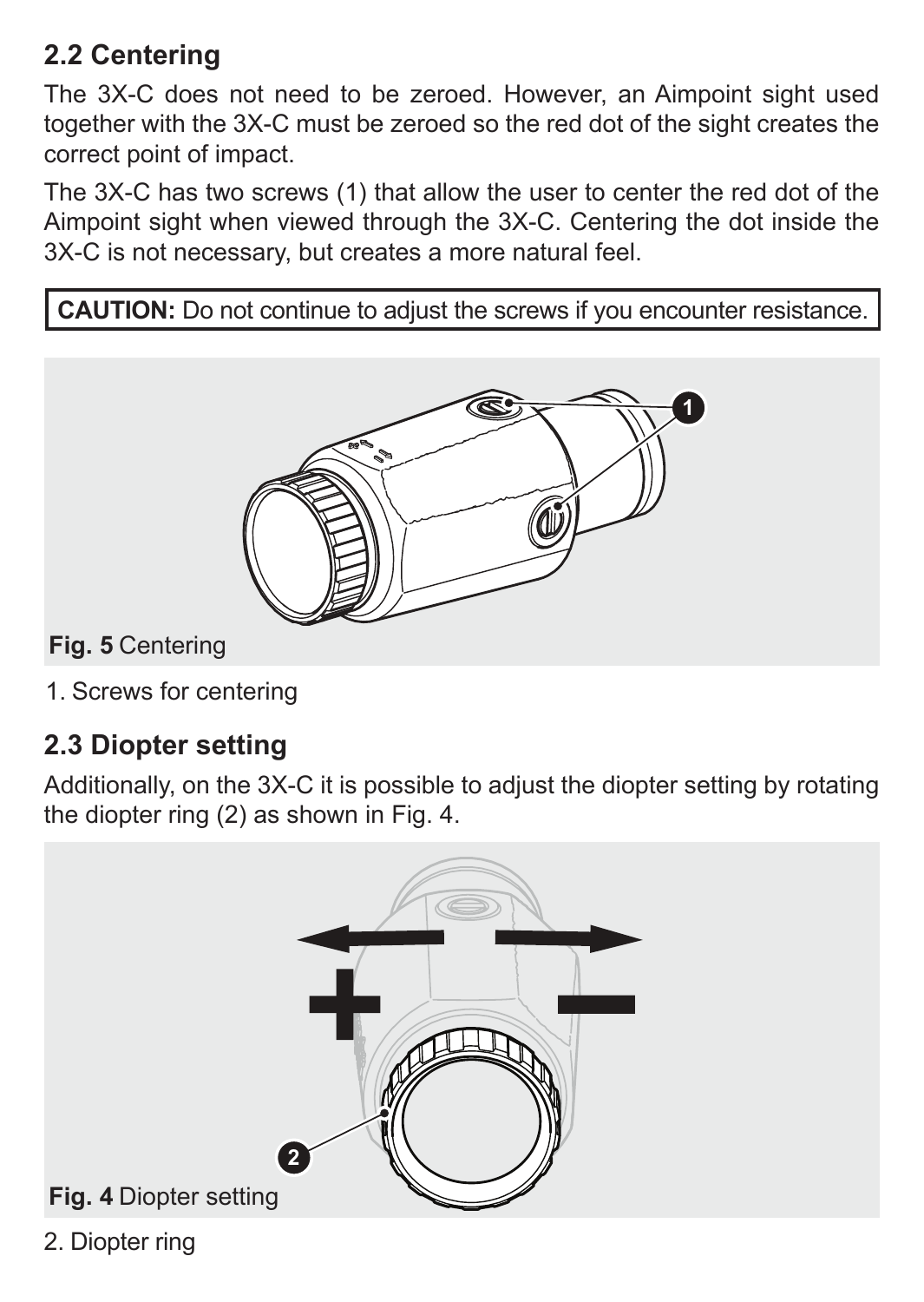### **2.2 Centering**

The 3X-C does not need to be zeroed. However, an Aimpoint sight used together with the 3X-C must be zeroed so the red dot of the sight creates the correct point of impact.

The 3X-C has two screws (1) that allow the user to center the red dot of the Aimpoint sight when viewed through the 3X-C. Centering the dot inside the 3X-C is not necessary, but creates a more natural feel.

**CAUTION:** Do not continue to adjust the screws if you encounter resistance.



**Fig. 5** Centering

1. Screws for centering

### **2.3 Diopter setting**

Additionally, on the 3X-C it is possible to adjust the diopter setting by rotating the diopter ring (2) as shown in Fig. 4.



2. Diopter ring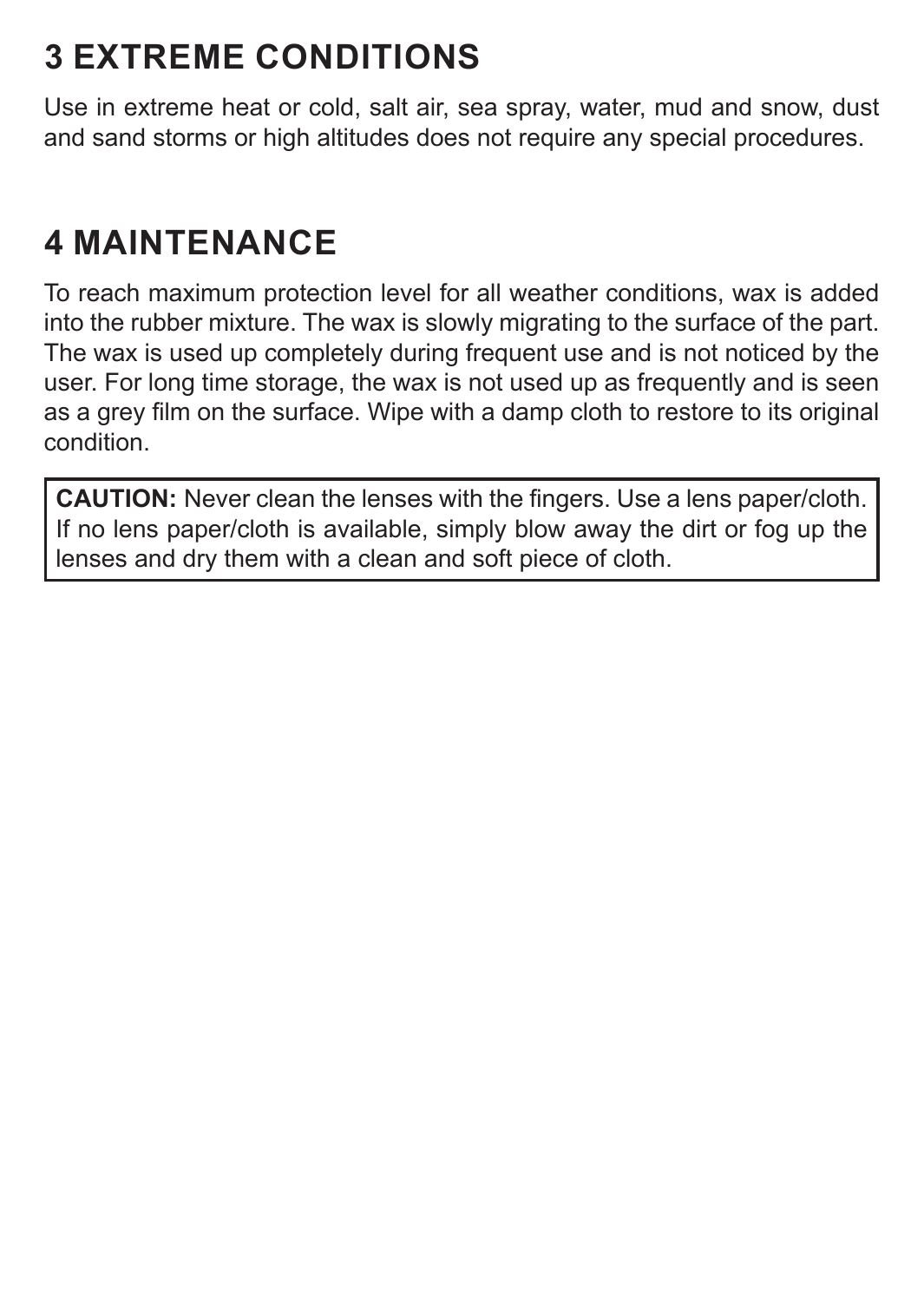# **3 EXTREME CONDITIONS**

Use in extreme heat or cold, salt air, sea spray, water, mud and snow, dust and sand storms or high altitudes does not require any special procedures.

# **4 MAINTENANCE**

To reach maximum protection level for all weather conditions, wax is added into the rubber mixture. The wax is slowly migrating to the surface of the part. The wax is used up completely during frequent use and is not noticed by the user. For long time storage, the wax is not used up as frequently and is seen as a grey film on the surface. Wipe with a damp cloth to restore to its original condition.

**CAUTION:** Never clean the lenses with the fingers. Use a lens paper/cloth. If no lens paper/cloth is available, simply blow away the dirt or fog up the lenses and dry them with a clean and soft piece of cloth.